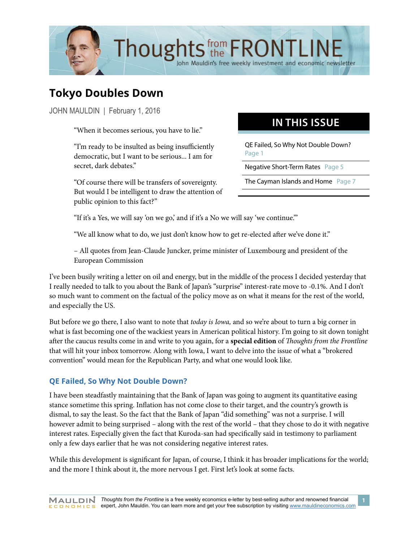

# **Tokyo Doubles Down**

JOHN MAULDIN | February 1, 2016

"When it becomes serious, you have to lie."

"I'm ready to be insulted as being insufficiently democratic, but I want to be serious... I am for secret, dark debates."

"Of course there will be transfers of sovereignty. But would I be intelligent to draw the attention of public opinion to this fact?"

# **IN THIS ISSUE**

QE Failed, So Why Not Double Down? Page 1

Negative Short-Term Rates Page 5

The Cayman Islands and Home Page 7

"If it's a Yes, we will say 'on we go,' and if it's a No we will say 'we continue.'"

"We all know what to do, we just don't know how to get re-elected after we've done it."

– All quotes from Jean-Claude Juncker, prime minister of Luxembourg and president of the European Commission

I've been busily writing a letter on oil and energy, but in the middle of the process I decided yesterday that I really needed to talk to you about the Bank of Japan's "surprise" interest-rate move to -0.1%. And I don't so much want to comment on the factual of the policy move as on what it means for the rest of the world, and especially the US.

But before we go there, I also want to note that *today is Iowa,* and so we're about to turn a big corner in what is fast becoming one of the wackiest years in American political history. I'm going to sit down tonight after the caucus results come in and write to you again, for a **special edition** of *Thoughts from the Frontline* that will hit your inbox tomorrow. Along with Iowa, I want to delve into the issue of what a "brokered convention" would mean for the Republican Party, and what one would look like.

## **QE Failed, So Why Not Double Down?**

I have been steadfastly maintaining that the Bank of Japan was going to augment its quantitative easing stance sometime this spring. Inflation has not come close to their target, and the country's growth is dismal, to say the least. So the fact that the Bank of Japan "did something" was not a surprise. I will however admit to being surprised – along with the rest of the world – that they chose to do it with negative interest rates. Especially given the fact that Kuroda-san had specifically said in testimony to parliament only a few days earlier that he was not considering negative interest rates.

While this development is significant for Japan, of course, I think it has broader implications for the world; and the more I think about it, the more nervous I get. First let's look at some facts.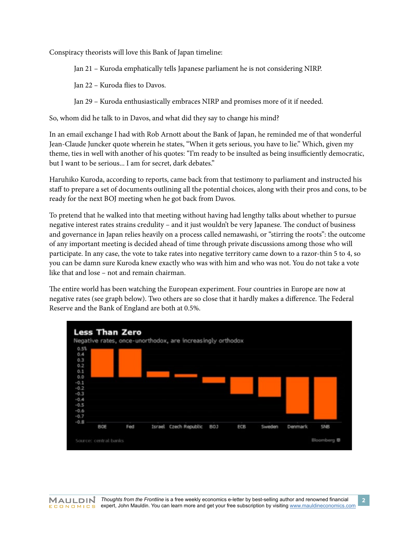Conspiracy theorists will love this Bank of Japan timeline:

Jan 21 – Kuroda emphatically tells Japanese parliament he is not considering NIRP.

- Jan 22 Kuroda flies to Davos.
- Jan 29 Kuroda enthusiastically embraces NIRP and promises more of it if needed.

So, whom did he talk to in Davos, and what did they say to change his mind?

In an email exchange I had with Rob Arnott about the Bank of Japan, he reminded me of that wonderful Jean-Claude Juncker quote wherein he states, "When it gets serious, you have to lie." Which, given my theme, ties in well with another of his quotes: "I'm ready to be insulted as being insufficiently democratic, but I want to be serious... I am for secret, dark debates."

Haruhiko Kuroda, according to reports, came back from that testimony to parliament and instructed his staff to prepare a set of documents outlining all the potential choices, along with their pros and cons, to be ready for the next BOJ meeting when he got back from Davos.

To pretend that he walked into that meeting without having had lengthy talks about whether to pursue negative interest rates strains credulity – and it just wouldn't be very Japanese. The conduct of business and governance in Japan relies heavily on a process called nemawashi, or "stirring the roots": the outcome of any important meeting is decided ahead of time through private discussions among those who will participate. In any case, the vote to take rates into negative territory came down to a razor-thin 5 to 4, so you can be damn sure Kuroda knew exactly who was with him and who was not. You do not take a vote like that and lose – not and remain chairman.

The entire world has been watching the European experiment. Four countries in Europe are now at negative rates (see graph below). Two others are so close that it hardly makes a difference. The Federal Reserve and the Bank of England are both at 0.5%.

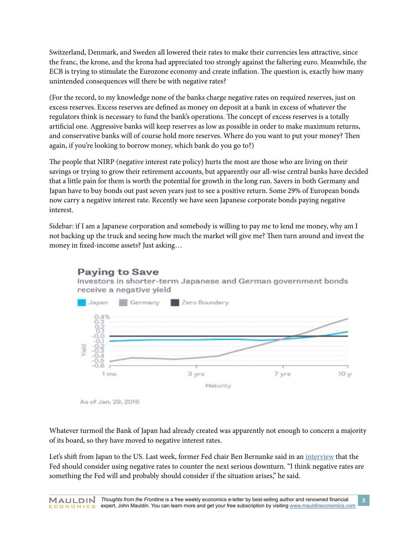Switzerland, Denmark, and Sweden all lowered their rates to make their currencies less attractive, since the franc, the krone, and the krona had appreciated too strongly against the faltering euro. Meanwhile, the ECB is trying to stimulate the Eurozone economy and create inflation. The question is, exactly how many unintended consequences will there be with negative rates?

(For the record, to my knowledge none of the banks charge negative rates on required reserves, just on excess reserves. Excess reserves are defined as money on deposit at a bank in excess of whatever the regulators think is necessary to fund the bank's operations. The concept of excess reserves is a totally artificial one. Aggressive banks will keep reserves as low as possible in order to make maximum returns, and conservative banks will of course hold more reserves. Where do you want to put your money? Then again, if you're looking to borrow money, which bank do you go to?)

The people that NIRP (negative interest rate policy) hurts the most are those who are living on their savings or trying to grow their retirement accounts, but apparently our all-wise central banks have decided that a little pain for them is worth the potential for growth in the long run. Savers in both Germany and Japan have to buy bonds out past seven years just to see a positive return. Some 29% of European bonds now carry a negative interest rate. Recently we have seen Japanese corporate bonds paying negative interest.

Sidebar: if I am a Japanese corporation and somebody is willing to pay me to lend me money, why am I not backing up the truck and seeing how much the market will give me? Then turn around and invest the money in fixed-income assets? Just asking…



Whatever turmoil the Bank of Japan had already created was apparently not enough to concern a majority of its board, so they have moved to negative interest rates.

Let's shift from Japan to the US. Last week, former Fed chair Ben Bernanke said in an [interview](http://www.marketwatch.com/story/bernanke-says-fed-likely-to-add-negative-rates-to-recession-fighting-toolkit-2015-12-15) that the Fed should consider using negative rates to counter the next serious downturn. "I think negative rates are something the Fed will and probably should consider if the situation arises," he said.

**MALILDIN** Thoughts from the Frontline is a free weekly economics e-letter by best-selling author and renowned financial  $E = D N D M E$  Sexpert, John Mauldin. You can learn more and get your free subscription by visiting [www.mauldineconomics.com](http://www.mauldineconomics.com/subscribe)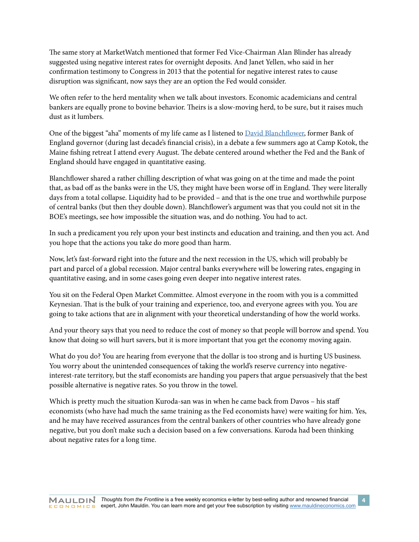The same story at MarketWatch mentioned that former Fed Vice-Chairman Alan Blinder has already suggested using negative interest rates for overnight deposits. And Janet Yellen, who said in her confirmation testimony to Congress in 2013 that the potential for negative interest rates to cause disruption was significant, now says they are an option the Fed would consider.

We often refer to the herd mentality when we talk about investors. Economic academicians and central bankers are equally prone to bovine behavior. Theirs is a slow-moving herd, to be sure, but it raises much dust as it lumbers.

One of the biggest "aha" moments of my life came as I listened to [David Blanchflower](https://en.wikipedia.org/wiki/David_Blanchflower), former Bank of England governor (during last decade's financial crisis), in a debate a few summers ago at Camp Kotok, the Maine fishing retreat I attend every August. The debate centered around whether the Fed and the Bank of England should have engaged in quantitative easing.

Blanchflower shared a rather chilling description of what was going on at the time and made the point that, as bad off as the banks were in the US, they might have been worse off in England. They were literally days from a total collapse. Liquidity had to be provided – and that is the one true and worthwhile purpose of central banks (but then they double down). Blanchflower's argument was that you could not sit in the BOE's meetings, see how impossible the situation was, and do nothing. You had to act.

In such a predicament you rely upon your best instincts and education and training, and then you act. And you hope that the actions you take do more good than harm.

Now, let's fast-forward right into the future and the next recession in the US, which will probably be part and parcel of a global recession. Major central banks everywhere will be lowering rates, engaging in quantitative easing, and in some cases going even deeper into negative interest rates.

You sit on the Federal Open Market Committee. Almost everyone in the room with you is a committed Keynesian. That is the bulk of your training and experience, too, and everyone agrees with you. You are going to take actions that are in alignment with your theoretical understanding of how the world works.

And your theory says that you need to reduce the cost of money so that people will borrow and spend. You know that doing so will hurt savers, but it is more important that you get the economy moving again.

What do you do? You are hearing from everyone that the dollar is too strong and is hurting US business. You worry about the unintended consequences of taking the world's reserve currency into negativeinterest-rate territory, but the staff economists are handing you papers that argue persuasively that the best possible alternative is negative rates. So you throw in the towel.

Which is pretty much the situation Kuroda-san was in when he came back from Davos – his staff economists (who have had much the same training as the Fed economists have) were waiting for him. Yes, and he may have received assurances from the central bankers of other countries who have already gone negative, but you don't make such a decision based on a few conversations. Kuroda had been thinking about negative rates for a long time.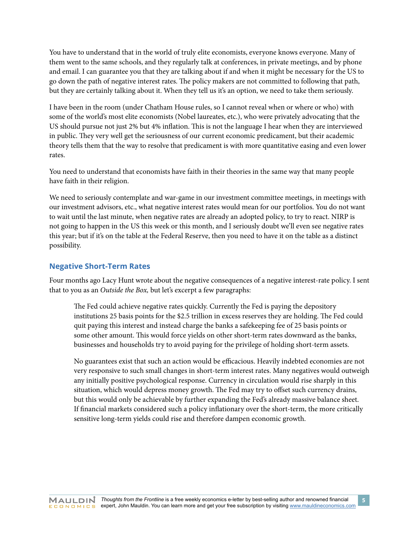You have to understand that in the world of truly elite economists, everyone knows everyone. Many of them went to the same schools, and they regularly talk at conferences, in private meetings, and by phone and email. I can guarantee you that they are talking about if and when it might be necessary for the US to go down the path of negative interest rates. The policy makers are not committed to following that path, but they are certainly talking about it. When they tell us it's an option, we need to take them seriously.

I have been in the room (under Chatham House rules, so I cannot reveal when or where or who) with some of the world's most elite economists (Nobel laureates, etc.), who were privately advocating that the US should pursue not just 2% but 4% inflation. This is not the language I hear when they are interviewed in public. They very well get the seriousness of our current economic predicament, but their academic theory tells them that the way to resolve that predicament is with more quantitative easing and even lower rates.

You need to understand that economists have faith in their theories in the same way that many people have faith in their religion.

We need to seriously contemplate and war-game in our investment committee meetings, in meetings with our investment advisors, etc., what negative interest rates would mean for our portfolios. You do not want to wait until the last minute, when negative rates are already an adopted policy, to try to react. NIRP is not going to happen in the US this week or this month, and I seriously doubt we'll even see negative rates this year; but if it's on the table at the Federal Reserve, then you need to have it on the table as a distinct possibility.

### **Negative Short-Term Rates**

Four months ago Lacy Hunt wrote about the negative consequences of a negative interest-rate policy. I sent that to you as an *Outside the Box,* but let's excerpt a few paragraphs:

The Fed could achieve negative rates quickly. Currently the Fed is paying the depository institutions 25 basis points for the \$2.5 trillion in excess reserves they are holding. The Fed could quit paying this interest and instead charge the banks a safekeeping fee of 25 basis points or some other amount. This would force yields on other short-term rates downward as the banks, businesses and households try to avoid paying for the privilege of holding short-term assets.

No guarantees exist that such an action would be efficacious. Heavily indebted economies are not very responsive to such small changes in short-term interest rates. Many negatives would outweigh any initially positive psychological response. Currency in circulation would rise sharply in this situation, which would depress money growth. The Fed may try to offset such currency drains, but this would only be achievable by further expanding the Fed's already massive balance sheet. If financial markets considered such a policy inflationary over the short-term, the more critically sensitive long-term yields could rise and therefore dampen economic growth.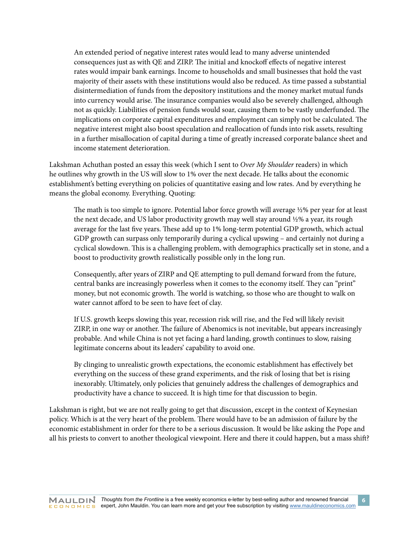An extended period of negative interest rates would lead to many adverse unintended consequences just as with QE and ZIRP. The initial and knockoff effects of negative interest rates would impair bank earnings. Income to households and small businesses that hold the vast majority of their assets with these institutions would also be reduced. As time passed a substantial disintermediation of funds from the depository institutions and the money market mutual funds into currency would arise. The insurance companies would also be severely challenged, although not as quickly. Liabilities of pension funds would soar, causing them to be vastly underfunded. The implications on corporate capital expenditures and employment can simply not be calculated. The negative interest might also boost speculation and reallocation of funds into risk assets, resulting in a further misallocation of capital during a time of greatly increased corporate balance sheet and income statement deterioration.

Lakshman Achuthan posted an essay this week (which I sent to *Over My Shoulder* readers) in which he outlines why growth in the US will slow to 1% over the next decade. He talks about the economic establishment's betting everything on policies of quantitative easing and low rates. And by everything he means the global economy. Everything. Quoting:

The math is too simple to ignore. Potential labor force growth will average ½% per year for at least the next decade, and US labor productivity growth may well stay around ½% a year, its rough average for the last five years. These add up to 1% long-term potential GDP growth, which actual GDP growth can surpass only temporarily during a cyclical upswing – and certainly not during a cyclical slowdown. This is a challenging problem, with demographics practically set in stone, and a boost to productivity growth realistically possible only in the long run.

Consequently, after years of ZIRP and QE attempting to pull demand forward from the future, central banks are increasingly powerless when it comes to the economy itself. They can "print" money, but not economic growth. The world is watching, so those who are thought to walk on water cannot afford to be seen to have feet of clay.

If U.S. growth keeps slowing this year, recession risk will rise, and the Fed will likely revisit ZIRP, in one way or another. The failure of Abenomics is not inevitable, but appears increasingly probable. And while China is not yet facing a hard landing, growth continues to slow, raising legitimate concerns about its leaders' capability to avoid one.

By clinging to unrealistic growth expectations, the economic establishment has effectively bet everything on the success of these grand experiments, and the risk of losing that bet is rising inexorably. Ultimately, only policies that genuinely address the challenges of demographics and productivity have a chance to succeed. It is high time for that discussion to begin.

Lakshman is right, but we are not really going to get that discussion, except in the context of Keynesian policy. Which is at the very heart of the problem. There would have to be an admission of failure by the economic establishment in order for there to be a serious discussion. It would be like asking the Pope and all his priests to convert to another theological viewpoint. Here and there it could happen, but a mass shift?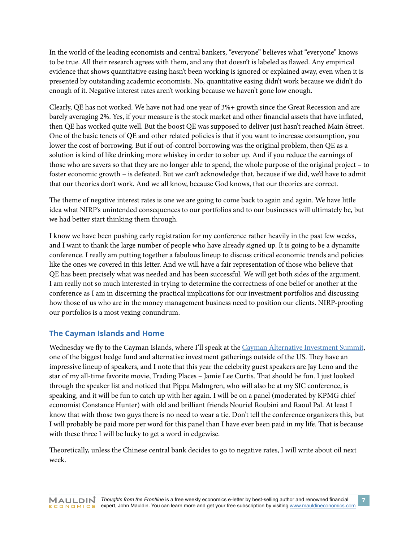In the world of the leading economists and central bankers, "everyone" believes what "everyone" knows to be true. All their research agrees with them, and any that doesn't is labeled as flawed. Any empirical evidence that shows quantitative easing hasn't been working is ignored or explained away, even when it is presented by outstanding academic economists. No, quantitative easing didn't work because we didn't do enough of it. Negative interest rates aren't working because we haven't gone low enough.

Clearly, QE has not worked. We have not had one year of 3%+ growth since the Great Recession and are barely averaging 2%. Yes, if your measure is the stock market and other financial assets that have inflated, then QE has worked quite well. But the boost QE was supposed to deliver just hasn't reached Main Street. One of the basic tenets of QE and other related policies is that if you want to increase consumption, you lower the cost of borrowing. But if out-of-control borrowing was the original problem, then QE as a solution is kind of like drinking more whiskey in order to sober up. And if you reduce the earnings of those who are savers so that they are no longer able to spend, the whole purpose of the original project – to foster economic growth – is defeated. But we can't acknowledge that, because if we did, we'd have to admit that our theories don't work. And we all know, because God knows, that our theories are correct.

The theme of negative interest rates is one we are going to come back to again and again. We have little idea what NIRP's unintended consequences to our portfolios and to our businesses will ultimately be, but we had better start thinking them through.

I know we have been pushing early registration for my conference rather heavily in the past few weeks, and I want to thank the large number of people who have already signed up. It is going to be a dynamite conference. I really am putting together a fabulous lineup to discuss critical economic trends and policies like the ones we covered in this letter. And we will have a fair representation of those who believe that QE has been precisely what was needed and has been successful. We will get both sides of the argument. I am really not so much interested in trying to determine the correctness of one belief or another at the conference as I am in discerning the practical implications for our investment portfolios and discussing how those of us who are in the money management business need to position our clients. NIRP-proofing our portfolios is a most vexing conundrum.

## **The Cayman Islands and Home**

Wednesday we fly to the Cayman Islands, where I'll speak at the [Cayman Alternative Investment Summit](http://www.caymansummit.com/), one of the biggest hedge fund and alternative investment gatherings outside of the US. They have an impressive lineup of speakers, and I note that this year the celebrity guest speakers are Jay Leno and the star of my all-time favorite movie, Trading Places – Jamie Lee Curtis. That should be fun. I just looked through the speaker list and noticed that Pippa Malmgren, who will also be at my SIC conference, is speaking, and it will be fun to catch up with her again. I will be on a panel (moderated by KPMG chief economist Constance Hunter) with old and brilliant friends Nouriel Roubini and Raoul Pal. At least I know that with those two guys there is no need to wear a tie. Don't tell the conference organizers this, but I will probably be paid more per word for this panel than I have ever been paid in my life. That is because with these three I will be lucky to get a word in edgewise.

Theoretically, unless the Chinese central bank decides to go to negative rates, I will write about oil next week.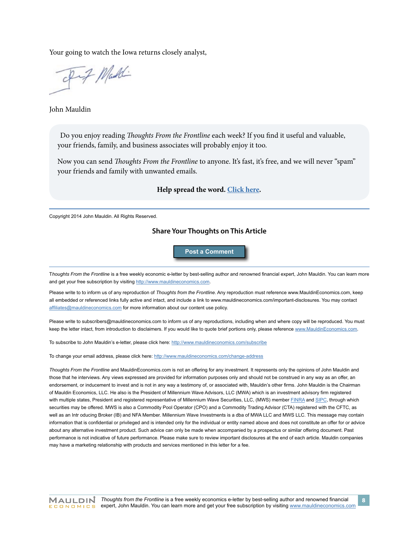Your going to watch the Iowa returns closely analyst,

Inf Maddi

John Mauldin

Do you enjoy reading *Thoughts From the Frontline* each week? If you find it useful and valuable, your friends, family, and business associates will probably enjoy it too.

Now you can send *Thoughts From the Frontline* to anyone. It's fast, it's free, and we will never "spam" your friends and family with unwanted emails.

### **Help spread the word. [Click here.](http://www.mauldineconomics.com/landing/friend-share-thoughts-from-the-frontline)**

Copyright 2014 John Mauldin. All Rights Reserved.

### **Share Your Thoughts on This Article**

**[Post a Comment](http://www.mauldineconomics.com/frontlinethoughts/tokyo-doubles-down)**

T*houghts From the Frontline* is a free weekly economic e-letter by best-selling author and renowned financial expert, John Mauldin. You can learn more and get your free subscription by visiting <http://www.mauldineconomics.com>.

Please write to to inform us of any reproduction of *Thoughts from the Frontline*. Any reproduction must reference www.MauldinEconomics.com, keep all embedded or referenced links fully active and intact, and include a link to www.mauldineconomics.com/important-disclosures. You may contact [affiliates@mauldineconomics.com](mailto:affiliates@mauldineconomics.com) for more information about our content use policy.

Please write to subscribers@mauldineconomics.com to inform us of any reproductions, including when and where copy will be reproduced. You must keep the letter intact, from introduction to disclaimers. If you would like to quote brief portions only, please reference [www.MauldinEconomics.com](http://www.MauldinEconomics.com).

To subscribe to John Mauldin's e-letter, please click here: <http://www.mauldineconomics.com/subscribe>

To change your email address, please click here:<http://www.mauldineconomics.com/change-address>

*Thoughts From the Frontline* and MauldinEconomics.com is not an offering for any investment. It represents only the opinions of John Mauldin and those that he interviews. Any views expressed are provided for information purposes only and should not be construed in any way as an offer, an endorsement, or inducement to invest and is not in any way a testimony of, or associated with, Mauldin's other firms. John Mauldin is the Chairman of Mauldin Economics, LLC. He also is the President of Millennium Wave Advisors, LLC (MWA) which is an investment advisory firm registered with multiple states, President and registered representative of Millennium Wave Securities, LLC, (MWS) member [FINRA](http://www.finra.org/) and [SIPC,](http://www.sipc.org/) through which securities may be offered. MWS is also a Commodity Pool Operator (CPO) and a Commodity Trading Advisor (CTA) registered with the CFTC, as well as an Intr oducing Broker (IB) and NFA Member. Millennium Wave Investments is a dba of MWA LLC and MWS LLC. This message may contain information that is confidential or privileged and is intended only for the individual or entity named above and does not constitute an offer for or advice about any alternative investment product. Such advice can only be made when accompanied by a prospectus or similar offering document. Past performance is not indicative of future performance. Please make sure to review important disclosures at the end of each article. Mauldin companies may have a marketing relationship with products and services mentioned in this letter for a fee.